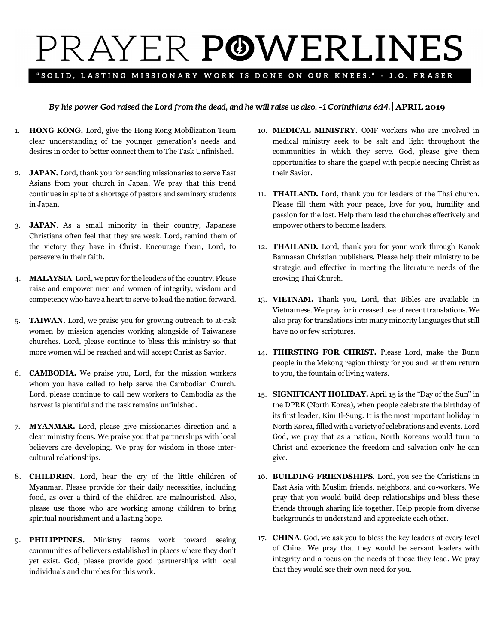## PRAYER POWERLINES

## "SOLID, LASTING MISSIONARY WORK IS DONE ON OUR KNEES." - J.O. FRASER

## *By his power God raised the Lord from the dead, and he will raise us also. –1 Corinthians 6:14.* | **APRIL 2019**

- 1. **HONG KONG.** Lord, give the Hong Kong Mobilization Team clear understanding of the younger generation's needs and desires in order to better connect them to The Task Unfinished.
- 2. **JAPAN.** Lord, thank you for sending missionaries to serve East Asians from your church in Japan. We pray that this trend continues in spite of a shortage of pastors and seminary students in Japan.
- 3. **JAPAN**. As a small minority in their country, Japanese Christians often feel that they are weak. Lord, remind them of the victory they have in Christ. Encourage them, Lord, to persevere in their faith.
- 4. **MALAYSIA**. Lord, we pray for the leaders of the country. Please raise and empower men and women of integrity, wisdom and competency who have a heart to serve to lead the nation forward.
- 5. **TAIWAN.** Lord, we praise you for growing outreach to at-risk women by mission agencies working alongside of Taiwanese churches. Lord, please continue to bless this ministry so that more women will be reached and will accept Christ as Savior.
- 6. **CAMBODIA.** We praise you, Lord, for the mission workers whom you have called to help serve the Cambodian Church. Lord, please continue to call new workers to Cambodia as the harvest is plentiful and the task remains unfinished.
- 7. **MYANMAR.** Lord, please give missionaries direction and a clear ministry focus. We praise you that partnerships with local believers are developing. We pray for wisdom in those intercultural relationships.
- 8. **CHILDREN**. Lord, hear the cry of the little children of Myanmar. Please provide for their daily necessities, including food, as over a third of the children are malnourished. Also, please use those who are working among children to bring spiritual nourishment and a lasting hope.
- 9. **PHILIPPINES.** Ministry teams work toward seeing communities of believers established in places where they don't yet exist. God, please provide good partnerships with local individuals and churches for this work.
- 10. **MEDICAL MINISTRY.** OMF workers who are involved in medical ministry seek to be salt and light throughout the communities in which they serve. God, please give them opportunities to share the gospel with people needing Christ as their Savior.
- 11. **THAILAND.** Lord, thank you for leaders of the Thai church. Please fill them with your peace, love for you, humility and passion for the lost. Help them lead the churches effectively and empower others to become leaders.
- 12. **THAILAND.** Lord, thank you for your work through Kanok Bannasan Christian publishers. Please help their ministry to be strategic and effective in meeting the literature needs of the growing Thai Church.
- 13. **VIETNAM.** Thank you, Lord, that Bibles are available in Vietnamese. We pray for increased use of recent translations. We also pray for translations into many minority languages that still have no or few scriptures.
- 14. **THIRSTING FOR CHRIST.** Please Lord, make the Bunu people in the Mekong region thirsty for you and let them return to you, the fountain of living waters.
- 15. **SIGNIFICANT HOLIDAY.** April 15 is the "Day of the Sun" in the DPRK (North Korea), when people celebrate the birthday of its first leader, Kim Il-Sung. It is the most important holiday in North Korea, filled with a variety of celebrations and events. Lord God, we pray that as a nation, North Koreans would turn to Christ and experience the freedom and salvation only he can give.
- 16. **BUILDING FRIENDSHIPS**. Lord, you see the Christians in East Asia with Muslim friends, neighbors, and co-workers. We pray that you would build deep relationships and bless these friends through sharing life together. Help people from diverse backgrounds to understand and appreciate each other.
- 17. **CHINA**. God, we ask you to bless the key leaders at every level of China. We pray that they would be servant leaders with integrity and a focus on the needs of those they lead. We pray that they would see their own need for you.